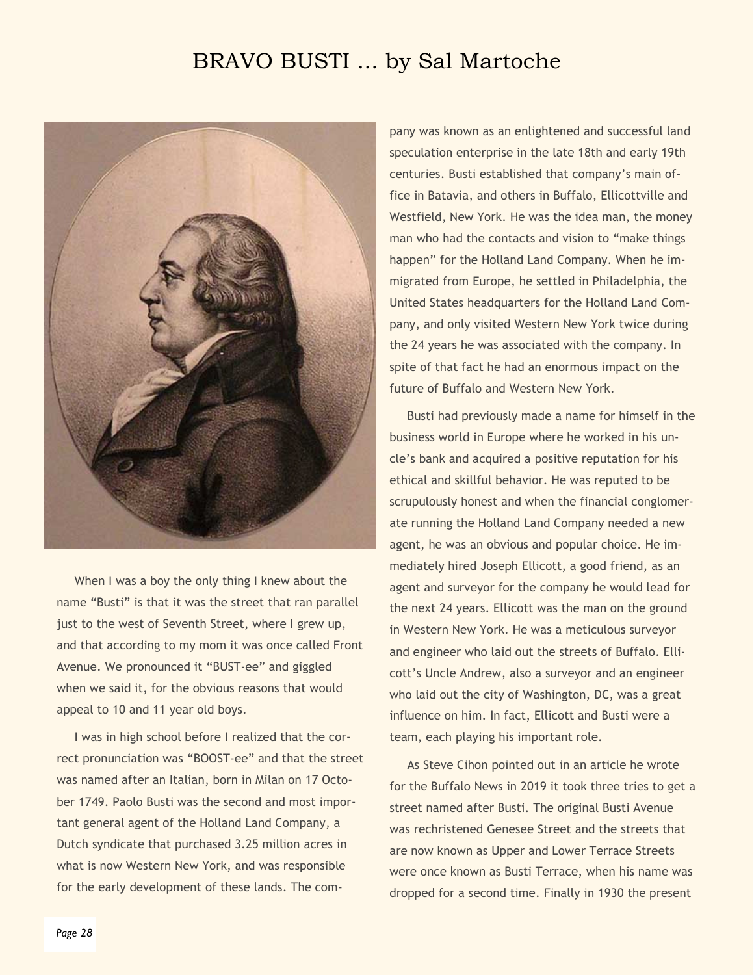## BRAVO BUSTI ... by Sal Martoche



When I was a boy the only thing I knew about the name "Busti" is that it was the street that ran parallel just to the west of Seventh Street, where I grew up, and that according to my mom it was once called Front Avenue. We pronounced it "BUST-ee" and giggled when we said it, for the obvious reasons that would appeal to 10 and 11 year old boys.

I was in high school before I realized that the correct pronunciation was "BOOST-ee" and that the street was named after an Italian, born in Milan on 17 October 1749. Paolo Busti was the second and most important general agent of the Holland Land Company, a Dutch syndicate that purchased 3.25 million acres in what is now Western New York, and was responsible for the early development of these lands. The company was known as an enlightened and successful land speculation enterprise in the late 18th and early 19th centuries. Busti established that company's main office in Batavia, and others in Buffalo, Ellicottville and Westfield, New York. He was the idea man, the money man who had the contacts and vision to "make things happen" for the Holland Land Company. When he immigrated from Europe, he settled in Philadelphia, the United States headquarters for the Holland Land Company, and only visited Western New York twice during the 24 years he was associated with the company. In spite of that fact he had an enormous impact on the future of Buffalo and Western New York.

Busti had previously made a name for himself in the business world in Europe where he worked in his uncle's bank and acquired a positive reputation for his ethical and skillful behavior. He was reputed to be scrupulously honest and when the financial conglomerate running the Holland Land Company needed a new agent, he was an obvious and popular choice. He immediately hired Joseph Ellicott, a good friend, as an agent and surveyor for the company he would lead for the next 24 years. Ellicott was the man on the ground in Western New York. He was a meticulous surveyor and engineer who laid out the streets of Buffalo. Ellicott's Uncle Andrew, also a surveyor and an engineer who laid out the city of Washington, DC, was a great influence on him. In fact, Ellicott and Busti were a team, each playing his important role.

As Steve Cihon pointed out in an article he wrote for the Buffalo News in 2019 it took three tries to get a street named after Busti. The original Busti Avenue was rechristened Genesee Street and the streets that are now known as Upper and Lower Terrace Streets were once known as Busti Terrace, when his name was dropped for a second time. Finally in 1930 the present